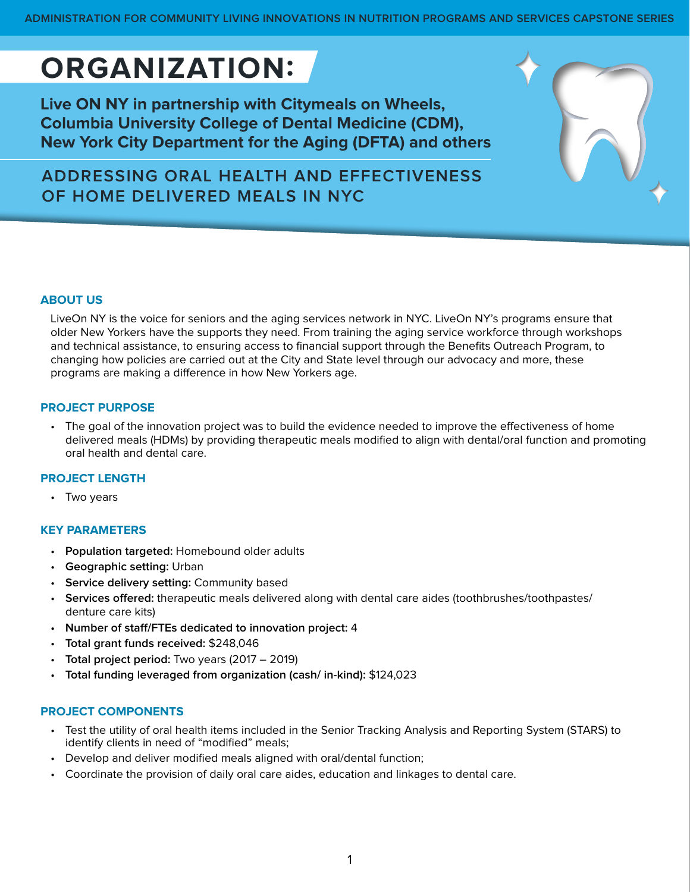**ADMINISTRATION FOR COMMUNITY LIVING INNOVATIONS IN NUTRITION PROGRAMS AND SERVICES CAPSTONE SERIES**

# **ORGANIZATION:**

**Live ON NY in partnership with Citymeals on Wheels, Columbia University College of Dental Medicine (CDM), New York City Department for the Aging (DFTA) and others**

**ADDRESSING ORAL HEALTH AND EFFECTIVENESS OF HOME DELIVERED MEALS IN NYC**

## **ABOUT US**

LiveOn NY is the voice for seniors and the aging services network in NYC. LiveOn NY's programs ensure that older New Yorkers have the supports they need. From training the aging service workforce through workshops and technical assistance, to ensuring access to financial support through the Benefits Outreach Program, to changing how policies are carried out at the City and State level through our advocacy and more, these programs are making a difference in how New Yorkers age.

## **PROJECT PURPOSE**

• The goal of the innovation project was to build the evidence needed to improve the effectiveness of home delivered meals (HDMs) by providing therapeutic meals modified to align with dental/oral function and promoting oral health and dental care.

## **PROJECT LENGTH**

• Two years

## **KEY PARAMETERS**

- **Population targeted:** Homebound older adults
- **Geographic setting:** Urban
- **Service delivery setting:** Community based
- **Services offered:** therapeutic meals delivered along with dental care aides (toothbrushes/toothpastes/ denture care kits)
- **Number of staff/FTEs dedicated to innovation project:** 4
- **Total grant funds received:** \$248,046
- **Total project period:** Two years (2017 2019)
- **Total funding leveraged from organization (cash/ in-kind):** \$124,023

## **PROJECT COMPONENTS**

- Test the utility of oral health items included in the Senior Tracking Analysis and Reporting System (STARS) to identify clients in need of "modified" meals;
- Develop and deliver modified meals aligned with oral/dental function;
- Coordinate the provision of daily oral care aides, education and linkages to dental care.